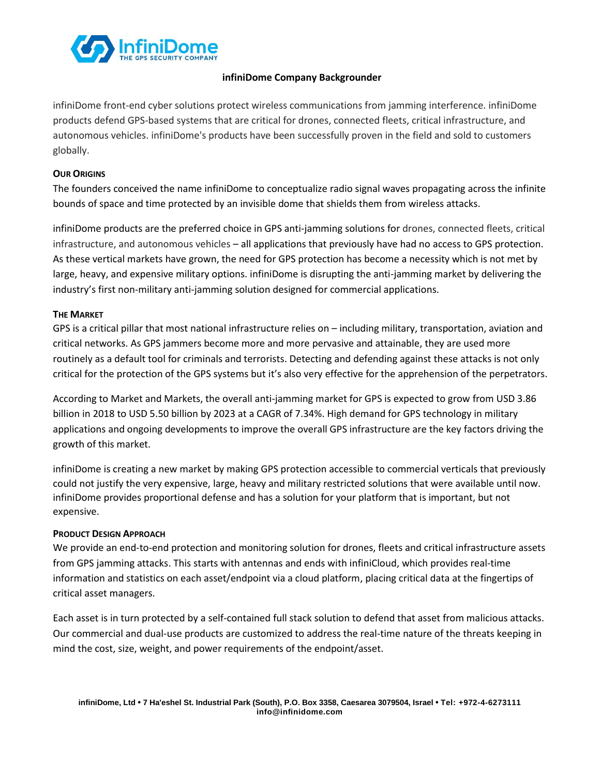

## **infiniDome Company Backgrounder**

infiniDome front-end cyber solutions protect wireless communications from jamming interference. infiniDome products defend GPS-based systems that are critical for drones, connected fleets, critical infrastructure, and autonomous vehicles. infiniDome's products have been successfully proven in the field and sold to customers globally.

## **OUR ORIGINS**

The founders conceived the name infiniDome to conceptualize radio signal waves propagating across the infinite bounds of space and time protected by an invisible dome that shields them from wireless attacks.

infiniDome products are the preferred choice in GPS anti-jamming solutions for drones, connected fleets, critical infrastructure, and autonomous vehicles – all applications that previously have had no access to GPS protection. As these vertical markets have grown, the need for GPS protection has become a necessity which is not met by large, heavy, and expensive military options. infiniDome is disrupting the anti-jamming market by delivering the industry's first non-military anti-jamming solution designed for commercial applications.

## **THE MARKET**

GPS is a critical pillar that most national infrastructure relies on – including military, transportation, aviation and critical networks. As GPS jammers become more and more pervasive and attainable, they are used more routinely as a default tool for criminals and terrorists. Detecting and defending against these attacks is not only critical for the protection of the GPS systems but it's also very effective for the apprehension of the perpetrators.

According to Market and Markets, the overall anti-jamming market for GPS is expected to grow from USD 3.86 billion in 2018 to USD 5.50 billion by 2023 at a CAGR of 7.34%. High demand for GPS technology in military applications and ongoing developments to improve the overall GPS infrastructure are the key factors driving the growth of this market.

infiniDome is creating a new market by making GPS protection accessible to commercial verticals that previously could not justify the very expensive, large, heavy and military restricted solutions that were available until now. infiniDome provides proportional defense and has a solution for your platform that is important, but not expensive.

#### **PRODUCT DESIGN APPROACH**

We provide an end-to-end protection and monitoring solution for drones, fleets and critical infrastructure assets from GPS jamming attacks. This starts with antennas and ends with infiniCloud, which provides real-time information and statistics on each asset/endpoint via a cloud platform, placing critical data at the fingertips of critical asset managers.

Each asset is in turn protected by a self-contained full stack solution to defend that asset from malicious attacks. Our commercial and dual-use products are customized to address the real-time nature of the threats keeping in mind the cost, size, weight, and power requirements of the endpoint/asset.